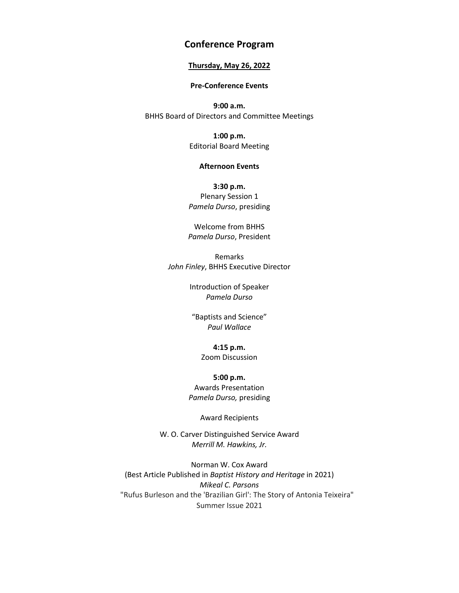# **Conference Program**

### **Thursday, May 26, 2022**

#### **Pre-Conference Events**

**9:00 a.m.** BHHS Board of Directors and Committee Meetings

> **1:00 p.m.** Editorial Board Meeting

#### **Afternoon Events**

**3:30 p.m.** Plenary Session 1 *Pamela Durso*, presiding

Welcome from BHHS *Pamela Durso*, President

Remarks *John Finley*, BHHS Executive Director

> Introduction of Speaker *Pamela Durso*

"Baptists and Science" *Paul Wallace*

> **4:15 p.m.** Zoom Discussion

**5:00 p.m.** Awards Presentation *Pamela Durso,* presiding

Award Recipients

W. O. Carver Distinguished Service Award *Merrill M. Hawkins, Jr.*

Norman W. Cox Award (Best Article Published in *Baptist History and Heritage* in 2021) *Mikeal C. Parsons* "Rufus Burleson and the 'Brazilian Girl': The Story of Antonia Teixeira" Summer Issue 2021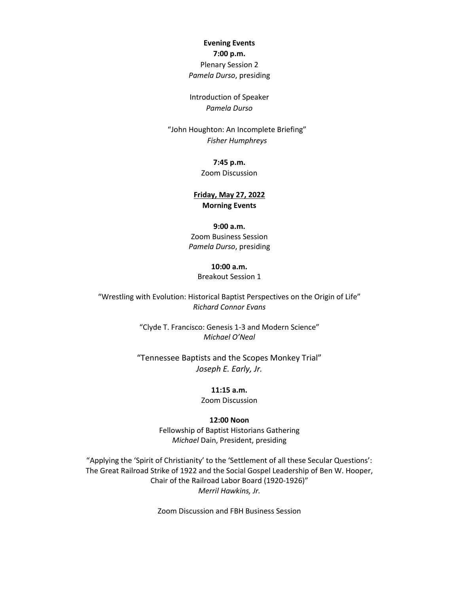# **Evening Events 7:00 p.m.** Plenary Session 2

*Pamela Durso*, presiding

Introduction of Speaker *Pamela Durso*

"John Houghton: An Incomplete Briefing" *Fisher Humphreys*

# **7:45 p.m.** Zoom Discussion

# **Friday, May 27, 2022 Morning Events**

#### **9:00 a.m.**

Zoom Business Session *Pamela Durso*, presiding

#### **10:00 a.m.**

Breakout Session 1

"Wrestling with Evolution: Historical Baptist Perspectives on the Origin of Life" *Richard Connor Evans*

> "Clyde T. Francisco: Genesis 1-3 and Modern Science" *Michael O'Neal*

"Tennessee Baptists and the Scopes Monkey Trial" *Joseph E. Early, Jr.*

# **11:15 a.m.**

Zoom Discussion

#### **12:00 Noon**

Fellowship of Baptist Historians Gathering *Michael* Dain, President, presiding

"Applying the 'Spirit of Christianity' to the 'Settlement of all these Secular Questions': The Great Railroad Strike of 1922 and the Social Gospel Leadership of Ben W. Hooper, Chair of the Railroad Labor Board (1920-1926)" *Merril Hawkins, Jr.*

Zoom Discussion and FBH Business Session